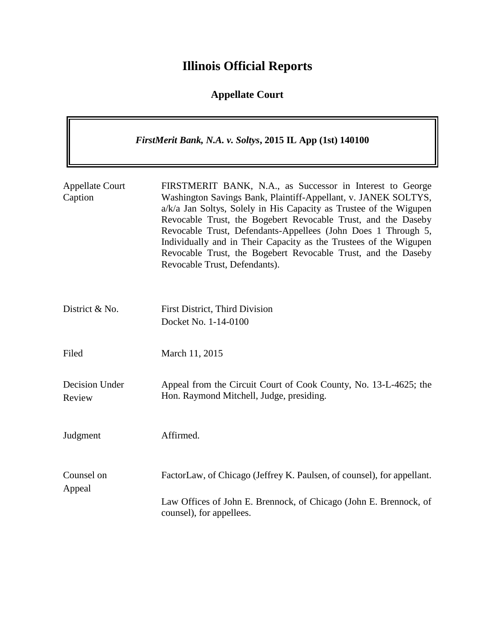# **Illinois Official Reports**

## **Appellate Court**

|                                   | FirstMerit Bank, N.A. v. Soltys, 2015 IL App (1st) 140100                                                                                                                                                                                                                                                                                                                                                                                                                                                  |
|-----------------------------------|------------------------------------------------------------------------------------------------------------------------------------------------------------------------------------------------------------------------------------------------------------------------------------------------------------------------------------------------------------------------------------------------------------------------------------------------------------------------------------------------------------|
| <b>Appellate Court</b><br>Caption | FIRSTMERIT BANK, N.A., as Successor in Interest to George<br>Washington Savings Bank, Plaintiff-Appellant, v. JANEK SOLTYS,<br>a/k/a Jan Soltys, Solely in His Capacity as Trustee of the Wigupen<br>Revocable Trust, the Bogebert Revocable Trust, and the Daseby<br>Revocable Trust, Defendants-Appellees (John Does 1 Through 5,<br>Individually and in Their Capacity as the Trustees of the Wigupen<br>Revocable Trust, the Bogebert Revocable Trust, and the Daseby<br>Revocable Trust, Defendants). |
| District & No.                    | First District, Third Division<br>Docket No. 1-14-0100                                                                                                                                                                                                                                                                                                                                                                                                                                                     |
| Filed                             | March 11, 2015                                                                                                                                                                                                                                                                                                                                                                                                                                                                                             |
| Decision Under<br>Review          | Appeal from the Circuit Court of Cook County, No. 13-L-4625; the<br>Hon. Raymond Mitchell, Judge, presiding.                                                                                                                                                                                                                                                                                                                                                                                               |
| Judgment                          | Affirmed.                                                                                                                                                                                                                                                                                                                                                                                                                                                                                                  |
| Counsel on<br>Appeal              | FactorLaw, of Chicago (Jeffrey K. Paulsen, of counsel), for appellant.<br>Law Offices of John E. Brennock, of Chicago (John E. Brennock, of<br>counsel), for appellees.                                                                                                                                                                                                                                                                                                                                    |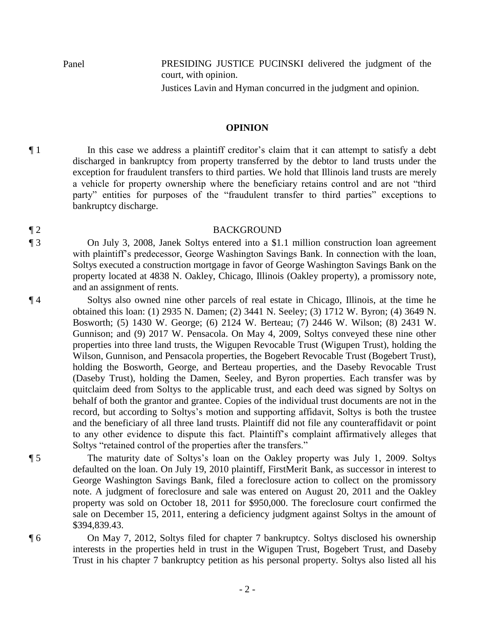Panel PRESIDING JUSTICE PUCINSKI delivered the judgment of the court, with opinion. Justices Lavin and Hyman concurred in the judgment and opinion.

#### **OPINION**

¶ 1 In this case we address a plaintiff creditor's claim that it can attempt to satisfy a debt discharged in bankruptcy from property transferred by the debtor to land trusts under the exception for fraudulent transfers to third parties. We hold that Illinois land trusts are merely a vehicle for property ownership where the beneficiary retains control and are not "third party" entities for purposes of the "fraudulent transfer to third parties" exceptions to bankruptcy discharge.

#### ¶ 2 BACKGROUND

¶ 3 On July 3, 2008, Janek Soltys entered into a \$1.1 million construction loan agreement with plaintiff's predecessor, George Washington Savings Bank. In connection with the loan, Soltys executed a construction mortgage in favor of George Washington Savings Bank on the property located at 4838 N. Oakley, Chicago, Illinois (Oakley property), a promissory note, and an assignment of rents.

¶ 4 Soltys also owned nine other parcels of real estate in Chicago, Illinois, at the time he obtained this loan: (1) 2935 N. Damen; (2) 3441 N. Seeley; (3) 1712 W. Byron; (4) 3649 N. Bosworth; (5) 1430 W. George; (6) 2124 W. Berteau; (7) 2446 W. Wilson; (8) 2431 W. Gunnison; and (9) 2017 W. Pensacola. On May 4, 2009, Soltys conveyed these nine other properties into three land trusts, the Wigupen Revocable Trust (Wigupen Trust), holding the Wilson, Gunnison, and Pensacola properties, the Bogebert Revocable Trust (Bogebert Trust), holding the Bosworth, George, and Berteau properties, and the Daseby Revocable Trust (Daseby Trust), holding the Damen, Seeley, and Byron properties. Each transfer was by quitclaim deed from Soltys to the applicable trust, and each deed was signed by Soltys on behalf of both the grantor and grantee. Copies of the individual trust documents are not in the record, but according to Soltys's motion and supporting affidavit, Soltys is both the trustee and the beneficiary of all three land trusts. Plaintiff did not file any counteraffidavit or point to any other evidence to dispute this fact. Plaintiff's complaint affirmatively alleges that Soltys "retained control of the properties after the transfers."

¶ 5 The maturity date of Soltys's loan on the Oakley property was July 1, 2009. Soltys defaulted on the loan. On July 19, 2010 plaintiff, FirstMerit Bank, as successor in interest to George Washington Savings Bank, filed a foreclosure action to collect on the promissory note. A judgment of foreclosure and sale was entered on August 20, 2011 and the Oakley property was sold on October 18, 2011 for \$950,000. The foreclosure court confirmed the sale on December 15, 2011, entering a deficiency judgment against Soltys in the amount of \$394,839.43.

¶ 6 On May 7, 2012, Soltys filed for chapter 7 bankruptcy. Soltys disclosed his ownership interests in the properties held in trust in the Wigupen Trust, Bogebert Trust, and Daseby Trust in his chapter 7 bankruptcy petition as his personal property. Soltys also listed all his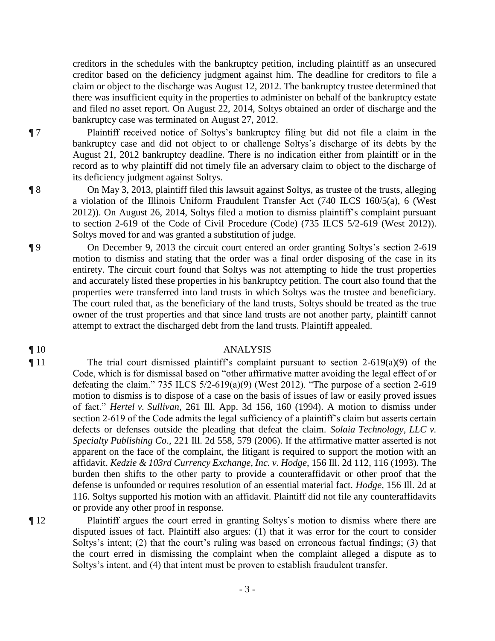creditors in the schedules with the bankruptcy petition, including plaintiff as an unsecured creditor based on the deficiency judgment against him. The deadline for creditors to file a claim or object to the discharge was August 12, 2012. The bankruptcy trustee determined that there was insufficient equity in the properties to administer on behalf of the bankruptcy estate and filed no asset report. On August 22, 2014, Soltys obtained an order of discharge and the bankruptcy case was terminated on August 27, 2012.

¶ 7 Plaintiff received notice of Soltys's bankruptcy filing but did not file a claim in the bankruptcy case and did not object to or challenge Soltys's discharge of its debts by the August 21, 2012 bankruptcy deadline. There is no indication either from plaintiff or in the record as to why plaintiff did not timely file an adversary claim to object to the discharge of its deficiency judgment against Soltys.

¶ 8 On May 3, 2013, plaintiff filed this lawsuit against Soltys, as trustee of the trusts, alleging a violation of the Illinois Uniform Fraudulent Transfer Act (740 ILCS 160/5(a), 6 (West 2012)). On August 26, 2014, Soltys filed a motion to dismiss plaintiff's complaint pursuant to section 2-619 of the Code of Civil Procedure (Code) (735 ILCS 5/2-619 (West 2012)). Soltys moved for and was granted a substitution of judge.

¶ 9 On December 9, 2013 the circuit court entered an order granting Soltys's section 2-619 motion to dismiss and stating that the order was a final order disposing of the case in its entirety. The circuit court found that Soltys was not attempting to hide the trust properties and accurately listed these properties in his bankruptcy petition. The court also found that the properties were transferred into land trusts in which Soltys was the trustee and beneficiary. The court ruled that, as the beneficiary of the land trusts, Soltys should be treated as the true owner of the trust properties and that since land trusts are not another party, plaintiff cannot attempt to extract the discharged debt from the land trusts. Plaintiff appealed.

#### ¶ 10 ANALYSIS

¶ 11 The trial court dismissed plaintiff's complaint pursuant to section 2-619(a)(9) of the Code, which is for dismissal based on "other affirmative matter avoiding the legal effect of or defeating the claim." 735 ILCS  $5/2-619(a)(9)$  (West 2012). "The purpose of a section 2-619 motion to dismiss is to dispose of a case on the basis of issues of law or easily proved issues of fact." *Hertel v. Sullivan*, 261 Ill. App. 3d 156, 160 (1994). A motion to dismiss under section 2-619 of the Code admits the legal sufficiency of a plaintiff's claim but asserts certain defects or defenses outside the pleading that defeat the claim. *Solaia Technology, LLC v. Specialty Publishing Co*., 221 Ill. 2d 558, 579 (2006). If the affirmative matter asserted is not apparent on the face of the complaint, the litigant is required to support the motion with an affidavit. *Kedzie & 103rd Currency Exchange, Inc. v. Hodge*, 156 Ill. 2d 112, 116 (1993). The burden then shifts to the other party to provide a counteraffidavit or other proof that the defense is unfounded or requires resolution of an essential material fact. *Hodge*, 156 Ill. 2d at 116. Soltys supported his motion with an affidavit. Plaintiff did not file any counteraffidavits or provide any other proof in response.

¶ 12 Plaintiff argues the court erred in granting Soltys's motion to dismiss where there are disputed issues of fact. Plaintiff also argues: (1) that it was error for the court to consider Soltys's intent; (2) that the court's ruling was based on erroneous factual findings; (3) that the court erred in dismissing the complaint when the complaint alleged a dispute as to Soltys's intent, and (4) that intent must be proven to establish fraudulent transfer.

- 3 -

- 
-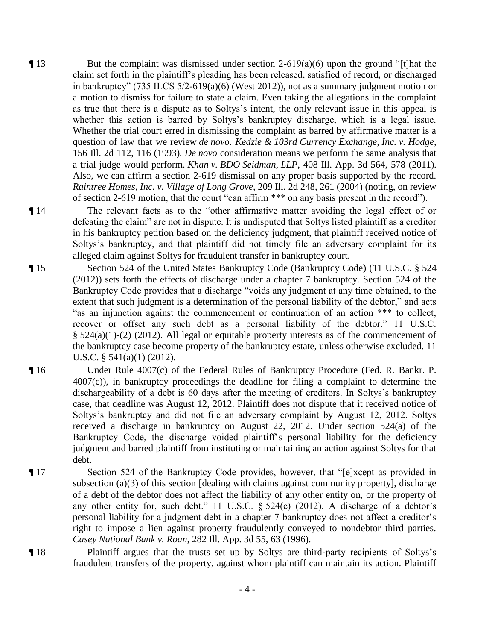- $\P$ 13 But the complaint was dismissed under section 2-619(a)(6) upon the ground "[t]hat the claim set forth in the plaintiff's pleading has been released, satisfied of record, or discharged in bankruptcy" (735 ILCS 5/2-619(a)(6) (West 2012)), not as a summary judgment motion or a motion to dismiss for failure to state a claim. Even taking the allegations in the complaint as true that there is a dispute as to Soltys's intent, the only relevant issue in this appeal is whether this action is barred by Soltys's bankruptcy discharge, which is a legal issue. Whether the trial court erred in dismissing the complaint as barred by affirmative matter is a question of law that we review *de novo*. *Kedzie & 103rd Currency Exchange, Inc. v. Hodge*, 156 Ill. 2d 112, 116 (1993)*. De novo* consideration means we perform the same analysis that a trial judge would perform. *Khan v. BDO Seidman, LLP*, 408 Ill. App. 3d 564, 578 (2011). Also, we can affirm a section 2-619 dismissal on any proper basis supported by the record. *Raintree Homes, Inc. v. Village of Long Grove*, 209 Ill. 2d 248, 261 (2004) (noting, on review of section 2-619 motion, that the court "can affirm \*\*\* on any basis present in the record").
- ¶ 14 The relevant facts as to the "other affirmative matter avoiding the legal effect of or defeating the claim" are not in dispute. It is undisputed that Soltys listed plaintiff as a creditor in his bankruptcy petition based on the deficiency judgment, that plaintiff received notice of Soltys's bankruptcy, and that plaintiff did not timely file an adversary complaint for its alleged claim against Soltys for fraudulent transfer in bankruptcy court.
- ¶ 15 Section 524 of the United States Bankruptcy Code (Bankruptcy Code) (11 U.S.C. § 524 (2012)) sets forth the effects of discharge under a chapter 7 bankruptcy. Section 524 of the Bankruptcy Code provides that a discharge "voids any judgment at any time obtained, to the extent that such judgment is a determination of the personal liability of the debtor," and acts "as an injunction against the commencement or continuation of an action \*\*\* to collect, recover or offset any such debt as a personal liability of the debtor." 11 U.S.C.  $§$  524(a)(1)-(2) (2012). All legal or equitable property interests as of the commencement of the bankruptcy case become property of the bankruptcy estate, unless otherwise excluded. 11 U.S.C. § 541(a)(1) (2012).
- ¶ 16 Under Rule 4007(c) of the Federal Rules of Bankruptcy Procedure (Fed. R. Bankr. P. 4007(c)), in bankruptcy proceedings the deadline for filing a complaint to determine the dischargeability of a debt is 60 days after the meeting of creditors. In Soltys's bankruptcy case, that deadline was August 12, 2012. Plaintiff does not dispute that it received notice of Soltys's bankruptcy and did not file an adversary complaint by August 12, 2012. Soltys received a discharge in bankruptcy on August 22, 2012. Under section 524(a) of the Bankruptcy Code, the discharge voided plaintiff's personal liability for the deficiency judgment and barred plaintiff from instituting or maintaining an action against Soltys for that debt.
- ¶ 17 Section 524 of the Bankruptcy Code provides, however, that "[e]xcept as provided in subsection (a)(3) of this section [dealing with claims against community property], discharge of a debt of the debtor does not affect the liability of any other entity on, or the property of any other entity for, such debt." 11 U.S.C. § 524(e) (2012). A discharge of a debtor's personal liability for a judgment debt in a chapter 7 bankruptcy does not affect a creditor's right to impose a lien against property fraudulently conveyed to nondebtor third parties. *Casey National Bank v. Roan*, 282 Ill. App. 3d 55, 63 (1996).
- ¶ 18 Plaintiff argues that the trusts set up by Soltys are third-party recipients of Soltys's fraudulent transfers of the property, against whom plaintiff can maintain its action. Plaintiff
	- 4 -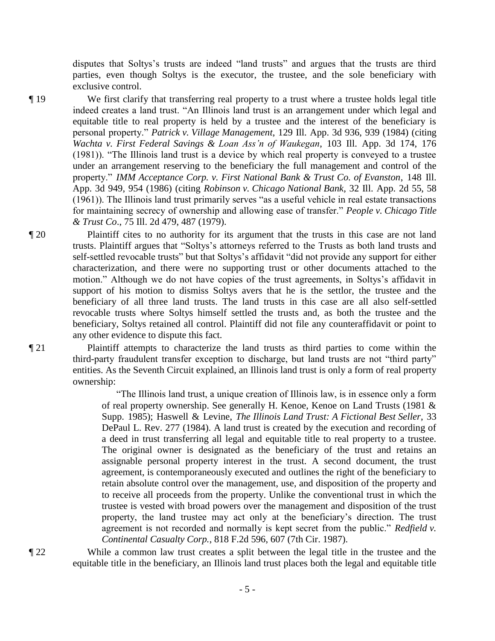disputes that Soltys's trusts are indeed "land trusts" and argues that the trusts are third parties, even though Soltys is the executor, the trustee, and the sole beneficiary with exclusive control.

¶ 19 We first clarify that transferring real property to a trust where a trustee holds legal title indeed creates a land trust. "An Illinois land trust is an arrangement under which legal and equitable title to real property is held by a trustee and the interest of the beneficiary is personal property." *Patrick v. Village Management*, 129 Ill. App. 3d 936, 939 (1984) (citing *Wachta v. First Federal Savings & Loan Ass'n of Waukegan*, 103 Ill. App. 3d 174, 176 (1981)). "The Illinois land trust is a device by which real property is conveyed to a trustee under an arrangement reserving to the beneficiary the full management and control of the property." *IMM Acceptance Corp. v. First National Bank & Trust Co. of Evanston*, 148 Ill. App. 3d 949, 954 (1986) (citing *Robinson v. Chicago National Bank*, 32 Ill. App. 2d 55, 58 (1961)). The Illinois land trust primarily serves "as a useful vehicle in real estate transactions for maintaining secrecy of ownership and allowing ease of transfer." *People v. Chicago Title & Trust Co*., 75 Ill. 2d 479, 487 (1979).

¶ 20 Plaintiff cites to no authority for its argument that the trusts in this case are not land trusts. Plaintiff argues that "Soltys's attorneys referred to the Trusts as both land trusts and self-settled revocable trusts" but that Soltys's affidavit "did not provide any support for either characterization, and there were no supporting trust or other documents attached to the motion." Although we do not have copies of the trust agreements, in Soltys's affidavit in support of his motion to dismiss Soltys avers that he is the settlor, the trustee and the beneficiary of all three land trusts. The land trusts in this case are all also self-settled revocable trusts where Soltys himself settled the trusts and, as both the trustee and the beneficiary, Soltys retained all control. Plaintiff did not file any counteraffidavit or point to any other evidence to dispute this fact.

¶ 21 Plaintiff attempts to characterize the land trusts as third parties to come within the third-party fraudulent transfer exception to discharge, but land trusts are not "third party" entities. As the Seventh Circuit explained, an Illinois land trust is only a form of real property ownership:

> "The Illinois land trust, a unique creation of Illinois law, is in essence only a form of real property ownership. See generally H. Kenoe, Kenoe on Land Trusts (1981 & Supp. 1985); Haswell & Levine, *The Illinois Land Trust: A Fictional Best Seller*, 33 DePaul L. Rev. 277 (1984). A land trust is created by the execution and recording of a deed in trust transferring all legal and equitable title to real property to a trustee. The original owner is designated as the beneficiary of the trust and retains an assignable personal property interest in the trust. A second document, the trust agreement, is contemporaneously executed and outlines the right of the beneficiary to retain absolute control over the management, use, and disposition of the property and to receive all proceeds from the property. Unlike the conventional trust in which the trustee is vested with broad powers over the management and disposition of the trust property, the land trustee may act only at the beneficiary's direction. The trust agreement is not recorded and normally is kept secret from the public." *Redfield v. Continental Casualty Corp.*, 818 F.2d 596, 607 (7th Cir. 1987).

¶ 22 While a common law trust creates a split between the legal title in the trustee and the equitable title in the beneficiary, an Illinois land trust places both the legal and equitable title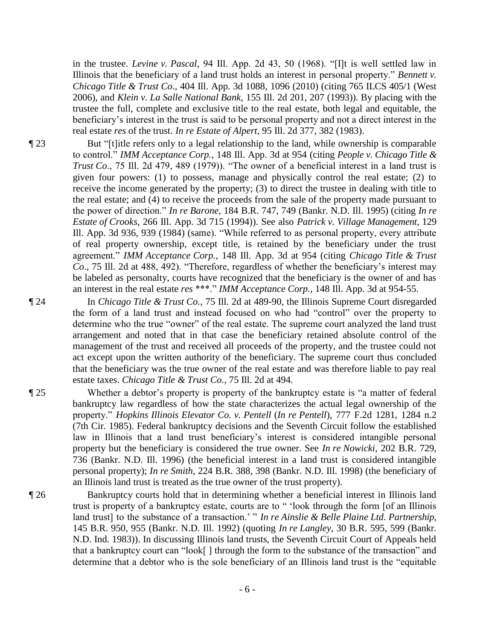in the trustee. *Levine v. Pascal*, 94 Ill. App. 2d 43, 50 (1968). "[I]t is well settled law in Illinois that the beneficiary of a land trust holds an interest in personal property." *Bennett v. Chicago Title & Trust Co*., 404 Ill. App. 3d 1088, 1096 (2010) (citing 765 ILCS 405/1 (West 2006), and *Klein v. La Salle National Bank*, 155 Ill. 2d 201, 207 (1993)). By placing with the trustee the full, complete and exclusive title to the real estate, both legal and equitable, the beneficiary's interest in the trust is said to be personal property and not a direct interest in the real estate *res* of the trust. *In re Estate of Alpert*, 95 Ill. 2d 377, 382 (1983).

¶ 23 But "[t]itle refers only to a legal relationship to the land, while ownership is comparable to control." *IMM Acceptance Corp.*, 148 Ill. App. 3d at 954 (citing *People v. Chicago Title & Trust Co.*, 75 Ill. 2d 479, 489 (1979)). "The owner of a beneficial interest in a land trust is given four powers: (1) to possess, manage and physically control the real estate; (2) to receive the income generated by the property; (3) to direct the trustee in dealing with title to the real estate; and (4) to receive the proceeds from the sale of the property made pursuant to the power of direction." *In re Barone*, 184 B.R. 747, 749 (Bankr. N.D. Ill. 1995) (citing *In re Estate of Crooks*, 266 Ill. App. 3d 715 (1994)). See also *Patrick v. Village Management*, 129 Ill. App. 3d 936, 939 (1984) (same). "While referred to as personal property, every attribute of real property ownership, except title, is retained by the beneficiary under the trust agreement." *IMM Acceptance Corp.*, 148 Ill. App. 3d at 954 (citing *Chicago Title & Trust Co*., 75 Ill. 2d at 488, 492). "Therefore, regardless of whether the beneficiary's interest may be labeled as personalty, courts have recognized that the beneficiary is the owner of and has an interest in the real estate *res* \*\*\*." *IMM Acceptance Corp.*, 148 Ill. App. 3d at 954-55.

¶ 24 In *Chicago Title & Trust Co.*, 75 Ill. 2d at 489-90, the Illinois Supreme Court disregarded the form of a land trust and instead focused on who had "control" over the property to determine who the true "owner" of the real estate. The supreme court analyzed the land trust arrangement and noted that in that case the beneficiary retained absolute control of the management of the trust and received all proceeds of the property, and the trustee could not act except upon the written authority of the beneficiary. The supreme court thus concluded that the beneficiary was the true owner of the real estate and was therefore liable to pay real estate taxes. *Chicago Title & Trust Co.*, 75 Ill. 2d at 494.

- ¶ 25 Whether a debtor's property is property of the bankruptcy estate is "a matter of federal bankruptcy law regardless of how the state characterizes the actual legal ownership of the property." *Hopkins Illinois Elevator Co. v. Pentell* (*In re Pentell*), 777 F.2d 1281, 1284 n.2 (7th Cir. 1985). Federal bankruptcy decisions and the Seventh Circuit follow the established law in Illinois that a land trust beneficiary's interest is considered intangible personal property but the beneficiary is considered the true owner. See *In re Nowicki*, 202 B.R. 729, 736 (Bankr. N.D. Ill. 1996) (the beneficial interest in a land trust is considered intangible personal property); *In re Smith*, 224 B.R. 388, 398 (Bankr. N.D. Ill. 1998) (the beneficiary of an Illinois land trust is treated as the true owner of the trust property).
- ¶ 26 Bankruptcy courts hold that in determining whether a beneficial interest in Illinois land trust is property of a bankruptcy estate, courts are to " 'look through the form [of an Illinois land trust] to the substance of a transaction.' " *In re Ainslie & Belle Plaine Ltd. Partnership*, 145 B.R. 950, 955 (Bankr. N.D. Ill. 1992) (quoting *In re Langley*, 30 B.R. 595, 599 (Bankr. N.D. Ind. 1983)). In discussing Illinois land trusts, the Seventh Circuit Court of Appeals held that a bankruptcy court can "look[ ] through the form to the substance of the transaction" and determine that a debtor who is the sole beneficiary of an Illinois land trust is the "equitable

- 6 -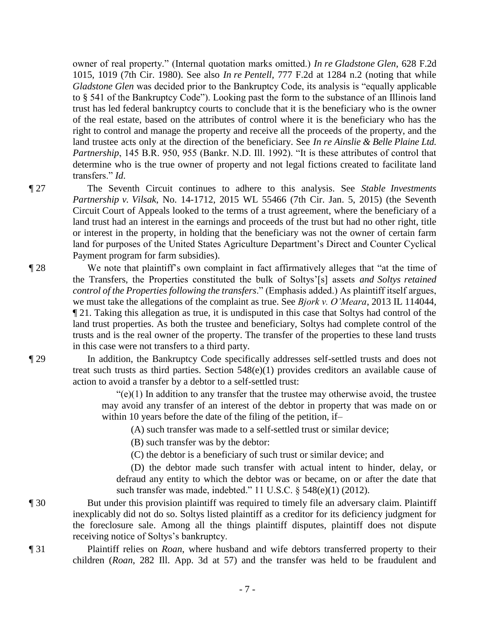owner of real property." (Internal quotation marks omitted.) *In re Gladstone Glen*, 628 F.2d 1015, 1019 (7th Cir. 1980). See also *In re Pentell*, 777 F.2d at 1284 n.2 (noting that while *Gladstone Glen* was decided prior to the Bankruptcy Code, its analysis is "equally applicable to § 541 of the Bankruptcy Code"). Looking past the form to the substance of an Illinois land trust has led federal bankruptcy courts to conclude that it is the beneficiary who is the owner of the real estate, based on the attributes of control where it is the beneficiary who has the right to control and manage the property and receive all the proceeds of the property, and the land trustee acts only at the direction of the beneficiary. See *In re Ainslie & Belle Plaine Ltd. Partnership*, 145 B.R. 950, 955 (Bankr. N.D. Ill. 1992). "It is these attributes of control that determine who is the true owner of property and not legal fictions created to facilitate land transfers." *Id*.

¶ 27 The Seventh Circuit continues to adhere to this analysis. See *Stable Investments Partnership v. Vilsak*, No. 14-1712, 2015 WL 55466 (7th Cir. Jan. 5, 2015) (the Seventh Circuit Court of Appeals looked to the terms of a trust agreement, where the beneficiary of a land trust had an interest in the earnings and proceeds of the trust but had no other right, title or interest in the property, in holding that the beneficiary was not the owner of certain farm land for purposes of the United States Agriculture Department's Direct and Counter Cyclical Payment program for farm subsidies).

¶ 28 We note that plaintiff's own complaint in fact affirmatively alleges that "at the time of the Transfers, the Properties constituted the bulk of Soltys'[s] assets *and Soltys retained control of the Properties following the transfers*." (Emphasis added.) As plaintiff itself argues, we must take the allegations of the complaint as true. See *Bjork v. O'Meara*, 2013 IL 114044, ¶ 21. Taking this allegation as true, it is undisputed in this case that Soltys had control of the land trust properties. As both the trustee and beneficiary, Soltys had complete control of the trusts and is the real owner of the property. The transfer of the properties to these land trusts in this case were not transfers to a third party.

¶ 29 In addition, the Bankruptcy Code specifically addresses self-settled trusts and does not treat such trusts as third parties. Section 548(e)(1) provides creditors an available cause of action to avoid a transfer by a debtor to a self-settled trust:

> $\degree$ (e)(1) In addition to any transfer that the trustee may otherwise avoid, the trustee may avoid any transfer of an interest of the debtor in property that was made on or within 10 years before the date of the filing of the petition, if–

(A) such transfer was made to a self-settled trust or similar device;

(B) such transfer was by the debtor:

(C) the debtor is a beneficiary of such trust or similar device; and

 (D) the debtor made such transfer with actual intent to hinder, delay, or defraud any entity to which the debtor was or became, on or after the date that such transfer was made, indebted." 11 U.S.C. § 548(e)(1) (2012).

- ¶ 30 But under this provision plaintiff was required to timely file an adversary claim. Plaintiff inexplicably did not do so. Soltys listed plaintiff as a creditor for its deficiency judgment for the foreclosure sale. Among all the things plaintiff disputes, plaintiff does not dispute receiving notice of Soltys's bankruptcy.
- ¶ 31 Plaintiff relies on *Roan*, where husband and wife debtors transferred property to their children (*Roan*, 282 Ill. App. 3d at 57) and the transfer was held to be fraudulent and